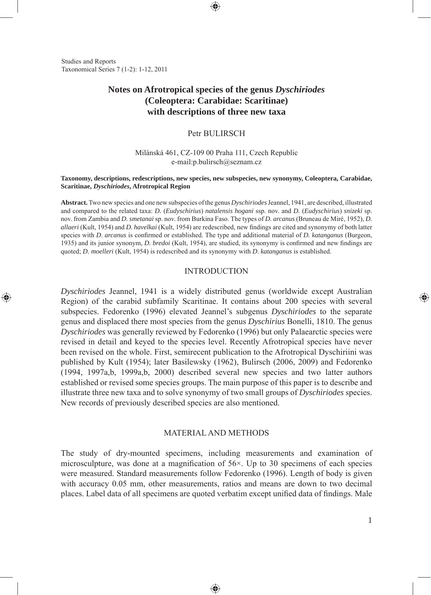Studies and Reports Taxonomical Series 7 (1-2): 1-12, 2011

⊕

# **Notes on Afrotropical species of the genus** *Dyschiriodes*  **(Coleoptera: Carabidae: Scaritinae) with descriptions of three new taxa**

# Petr BULIRSCH

## Milánská 461, CZ-109 00 Praha 111, Czech Republic e-mail:p.bulirsch@seznam.cz

#### **Taxonomy, descriptions, redescriptions, new species, new subspecies, new synonymy, Coleoptera, Carabidae, Scaritinae,** *Dyschiriodes***, Afrotropical Region**

**Abstract.** Two new species and one new subspecies of the genus *Dyschiriodes* Jeannel, 1941, are described, illustrated and compared to the related taxa: *D.* (*Eudyschirius*) *natalensis hogani* ssp. nov. and *D.* (*Eudyschirius*) *snizeki* sp. nov. from Zambia and *D. smetanai* sp. nov. from Burkina Faso. The types of *D. arcanus* (Bruneau de Miré, 1952), *D. allaeri* (Kult, 1954) and *D. havelkai* (Kult, 1954) are redescribed, new fi ndings are cited and synonymy of both latter species with *D. arcanus* is confirmed or established. The type and additional material of *D. katanganus* (Burgeon, 1935) and its junior synonym, *D. bredoi* (Kult, 1954), are studied, its synonymy is confirmed and new findings are quoted; *D*. *moelleri* (Kult, 1954) is redescribed and its synonymy with *D*. *katanganus* is established.

#### INTRODUCTION

*Dyschiriodes* Jeannel, 1941 is a widely distributed genus (worldwide except Australian Region) of the carabid subfamily Scaritinae. It contains about 200 species with several subspecies. Fedorenko (1996) elevated Jeannel's subgenus *Dyschiriodes* to the separate genus and displaced there most species from the genus *Dyschirius* Bonelli, 1810. The genus *Dyschiriodes* was generally reviewed by Fedorenko (1996) but only Palaearctic species were revised in detail and keyed to the species level. Recently Afrotropical species have never been revised on the whole. First, semirecent publication to the Afrotropical Dyschiriini was published by Kult (1954); later Basilewsky (1962), Bulirsch (2006, 2009) and Fedorenko (1994, 1997a,b, 1999a,b, 2000) described several new species and two latter authors established or revised some species groups. The main purpose of this paper is to describe and illustrate three new taxa and to solve synonymy of two small groups of *Dyschiriodes* species. New records of previously described species are also mentioned.

## MATERIAL AND METHODS

The study of dry-mounted specimens, including measurements and examination of microsculpture, was done at a magnification of  $56\times$ . Up to 30 specimens of each species were measured. Standard measurements follow Fedorenko (1996). Length of body is given with accuracy 0.05 mm, other measurements, ratios and means are down to two decimal places. Label data of all specimens are quoted verbatim except unified data of findings. Male

◈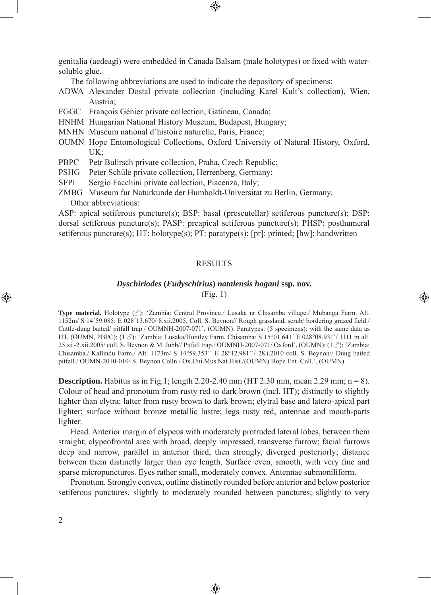genitalia (aedeagi) were embedded in Canada Balsam (male holotypes) or fixed with watersoluble glue.

The following abbreviations are used to indicate the depository of specimens:

- ADWA Alexander Dostal private collection (including Karel Kult's collection), Wien, Austria;
- FGGC François Génier private collection, Gatineau, Canada;
- HNHM Hungarian National History Museum, Budapest, Hungary;
- MNHN Muséum national d´histoire naturelle, Paris, France;
- OUMN Hope Entomological Collections, Oxford University of Natural History, Oxford, UK;
- PBPC Petr Bulirsch private collection, Praha, Czech Republic;
- PSHG Peter Schüle private collection, Herrenberg, Germany;
- SFPI Sergio Facchini private collection, Piacenza, Italy;
- ZMBG Museum fur Naturkunde der Humboldt-Universitat zu Berlin, Germany. Other abbreviations:

ASP: apical setiferous puncture(s); BSP: basal (prescutellar) setiferous puncture(s); DSP: dorsal setiferous puncture(s); PASP: preapical setiferous puncture(s); PHSP: posthumeral setiferous puncture(s); HT: holotype(s); PT: paratype(s); [pr]: printed; [hw]: handwritten

#### **RESULTS**

#### *Dyschiriodes* **(***Eudyschirius***)** *natalensis hogani* **ssp. nov.**

(Fig. 1)

⊕

**Type material.** Holotype (♂): 'Zambia: Central Province./ Lusaka nr Chisamba village./ Mubanga Farm. Alt. 1152m/ S 14´59.085; E 028´13.670/ 8.xii.2005, Coll. S. Beynon// Rough grassland, scrub/ bordering grazed field./ Cattle-dung baited/ pitfall trap./ OUMNH-2007-071', (OUMN). Paratypes: (5 specimens): with the same data as HT, (OUMN, PBPC);  $(1 \text{ } \textcircled{})$ : 'Zambia: Lusaka/Huntley Farm, Chisamba/ S 15°01.641´ E 028°08.931′/ 1111 m alt. 25.xi.-2.xii.2005/ coll. S. Beynon & M. Jubb// Pitfall trap./ OUMNH-2007-071/ Oxford', (OUMN); (1 ♂): 'Zambia: Chisamba./ Kallindu Farm./ Alt. 1173m/ S 14°59.353´´ E 28°12.981´´/ 28.i.2010 coll. S. Beynon// Dung baited pitfall./ OUMN-2010-010/ S. Beynon Colln./ Ox.Uni.Mus.Nat.Hist./(OUMN) Hope Ent. Coll.', (OUMN).

**Description.** Habitus as in Fig.1; length 2.20-2.40 mm (HT 2.30 mm, mean 2.29 mm;  $n = 8$ ). Colour of head and pronotum from rusty red to dark brown (incl. HT); distinctly to slightly lighter than elytra; latter from rusty brown to dark brown; elytral base and latero-apical part lighter; surface without bronze metallic lustre; legs rusty red, antennae and mouth-parts lighter.

Head. Anterior margin of clypeus with moderately protruded lateral lobes, between them straight; clypeofrontal area with broad, deeply impressed, transverse furrow; facial furrows deep and narrow, parallel in anterior third, then strongly, diverged posteriorly; distance between them distinctly larger than eye length. Surface even, smooth, with very fine and sparse micropunctures. Eyes rather small, moderately convex. Antennae submoniliform.

Pronotum. Strongly convex, outline distinctly rounded before anterior and below posterior setiferous punctures, slightly to moderately rounded between punctures; slightly to very

♠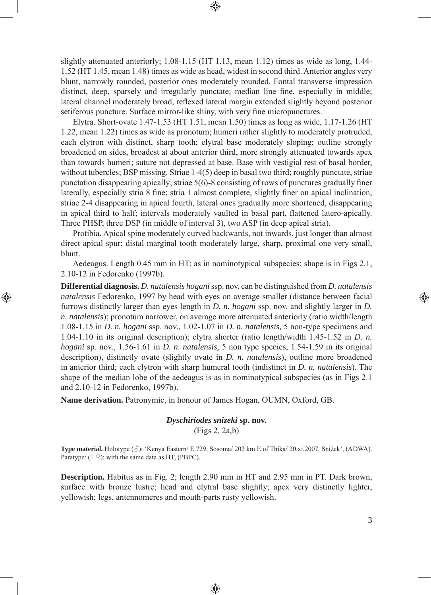slightly attenuated anteriorly; 1.08-1.15 (HT 1.13, mean 1.12) times as wide as long, 1.44- 1.52 (HT 1.45, mean 1.48) times as wide as head, widest in second third. Anterior angles very blunt, narrowly rounded, posterior ones moderately rounded. Fontal transverse impression distinct, deep, sparsely and irregularly punctate; median line fine, especially in middle; lateral channel moderately broad, reflexed lateral margin extended slightly beyond posterior setiferous puncture. Surface mirror-like shiny, with very fine micropunctures.

⊕

Elytra. Short-ovate 1.47-1.53 (HT 1.51, mean 1.50) times as long as wide, 1.17-1.26 (HT 1.22, mean 1.22) times as wide as pronotum; humeri rather slightly to moderately protruded, each elytron with distinct, sharp tooth; elytral base moderately sloping; outline strongly broadened on sides, broadest at about anterior third, more strongly attenuated towards apex than towards humeri; suture not depressed at base. Base with vestigial rest of basal border, without tubercles; BSP missing. Striae 1-4(5) deep in basal two third; roughly punctate, striae punctation disappearing apically; striae  $5(6)$ -8 consisting of rows of punctures gradually finer laterally, especially stria 8 fine; stria 1 almost complete, slightly finer on apical inclination, striae 2-4 disappearing in apical fourth, lateral ones gradually more shortened, disappearing in apical third to half; intervals moderately vaulted in basal part, flattened latero-apically. Three PHSP, three DSP (in middle of interval 3), two ASP (in deep apical stria).

Protibia. Apical spine moderately curved backwards, not inwards, just longer than almost direct apical spur; distal marginal tooth moderately large, sharp, proximal one very small, blunt.

Aedeagus. Length 0.45 mm in HT; as in nominotypical subspecies; shape is in Figs 2.1, 2.10-12 in Fedorenko (1997b).

**Differential diagnosis.** *D. natalensis hogani* ssp. nov. can be distinguished from *D. natalensis natalensis* Fedorenko, 1997 by head with eyes on average smaller (distance between facial furrows distinctly larger than eyes length in *D. n. hogani* ssp. nov. and slightly larger in *D. n. natalensis*); pronotum narrower, on average more attenuated anteriorly (ratio width/length 1.08-1.15 in *D. n. hogani* ssp. nov., 1.02-1.07 in *D. n. natalensis,* 5 non-type specimens and 1.04-1.10 in its original description); elytra shorter (ratio length/width 1.45-1.52 in *D. n. hogani* sp. nov., 1.56-1.61 in *D. n. natalensis,* 5 non type species, 1.54-1.59 in its original description), distinctly ovate (slightly ovate in *D. n. natalensis*), outline more broadened in anterior third; each elytron with sharp humeral tooth (indistinct in *D. n. natalensis*). The shape of the median lobe of the aedeagus is as in nominotypical subspecies (as in Figs 2.1 and 2.10-12 in Fedorenko, 1997b).

**Name derivation.** Patronymic, in honour of James Hogan, OUMN, Oxford, GB.

⊕

# *Dyschiriodes snizeki* **sp. nov.** (Figs 2, 2a,b)

**Type material.** Holotype (♂): 'Kenya Eastern/ E 729, Sosoma/ 202 km E of Thika/ 20.xi.2007, Snížek', (ADWA). Paratype:  $(1 \nsubseteq)$ : with the same data as HT, (PBPC).

**Description.** Habitus as in Fig. 2; length 2.90 mm in HT and 2.95 mm in PT. Dark brown, surface with bronze lustre; head and elytral base slightly; apex very distinctly lighter, yellowish; legs, antennomeres and mouth-parts rusty yellowish.

◈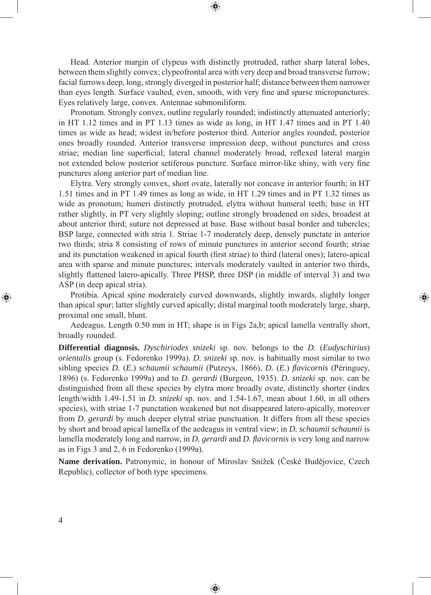Head. Anterior margin of clypeus with distinctly protruded, rather sharp lateral lobes, between them slightly convex; clypeofrontal area with very deep and broad transverse furrow; facial furrows deep, long, strongly diverged in posterior half; distance between them narrower than eyes length. Surface vaulted, even, smooth, with very fine and sparse micropunctures. Eyes relatively large, convex. Antennae submoniliform.

⊕

Pronotum. Strongly convex, outline regularly rounded; indistinctly attenuated anteriorly; in HT 1.12 times and in PT 1.13 times as wide as long, in HT 1.47 times and in PT 1.40 times as wide as head; widest in/before posterior third. Anterior angles rounded, posterior ones broadly rounded. Anterior transverse impression deep, without punctures and cross striae; median line superficial; lateral channel moderately broad, reflexed lateral margin not extended below posterior setiferous puncture. Surface mirror-like shiny, with very fine punctures along anterior part of median line.

Elytra. Very strongly convex, short ovate, laterally not concave in anterior fourth; in HT 1.51 times and in PT 1.49 times as long as wide, in HT 1.29 times and in PT 1.32 times as wide as pronotum; humeri distinctly protruded, elytra without humeral teeth; base in HT rather slightly, in PT very slightly sloping; outline strongly broadened on sides, broadest at about anterior third; suture not depressed at base. Base without basal border and tubercles; BSP large, connected with stria 1. Striae 1-7 moderately deep, densely punctate in anterior two thirds; stria 8 consisting of rows of minute punctures in anterior second fourth; striae and its punctation weakened in apical fourth (first striae) to third (lateral ones); latero-apical area with sparse and minute punctures; intervals moderately vaulted in anterior two thirds, slightly flattened latero-apically. Three PHSP, three DSP (in middle of interval 3) and two ASP (in deep apical stria).

Protibia. Apical spine moderately curved downwards, slightly inwards, slightly longer than apical spur; latter slightly curved apically; distal marginal tooth moderately large, sharp, proximal one small, blunt.

⊕

Aedeagus. Length 0.50 mm in HT; shape is in Figs 2a,b; apical lamella ventrally short, broadly rounded.

**Differential diagnosis.** *Dyschiriodes snizeki* sp. nov. belongs to the *D*. (*Eudyschirius*) *orientalis* group (s. Fedorenko 1999a). *D. snizeki* sp. nov. is habitually most similar to two sibling species *D.* (*E.*) *schaumii schaumii* (Putzeys, 1866), *D.* (*E.*) *fl avicornis* (Péringuey, 1896) (s. Fedorenko 1999a) and to *D. gerardi* (Burgeon, 1935). *D. snizeki* sp. nov. can be distinguished from all these species by elytra more broadly ovate, distinctly shorter (index length/width 1.49-1.51 in *D. snizeki* sp. nov. and 1.54-1.67, mean about 1.60, in all others species), with striae 1-7 punctation weakened but not disappeared latero-apically, moreover from *D. gerardi* by much deeper elytral striae punctuation. It differs from all these species by short and broad apical lamella of the aedeagus in ventral view; in *D. schaumii schaumii* is lamella moderately long and narrow, in *D. gerardi* and *D. flavicornis* is very long and narrow as in Figs 3 and 2, 6 in Fedorenko (1999a).

**Name derivation.** Patronymic, in honour of Miroslav Snížek (České Budějovice, Czech Republic), collector of both type specimens.

◈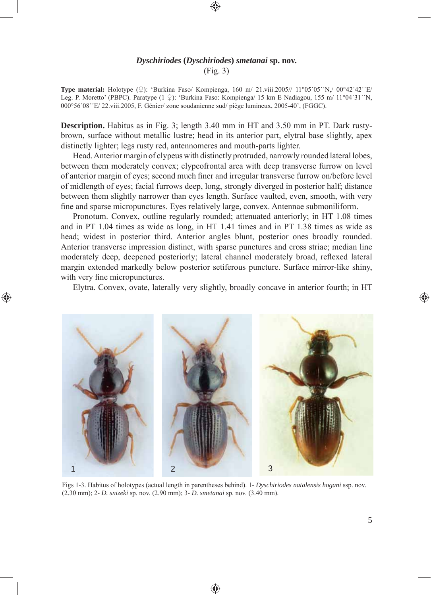# *Dyschiriodes* **(***Dyschiriodes***)** *smetanai* **sp. nov.** (Fig. 3)

**Type material:** Holotype  $(\mathcal{Q})$ : 'Burkina Faso/ Kompienga, 160 m/ 21.viii.2005// 11°05´05´'N,/ 00°42´42´'E/ Leg. P. Moretto' (PBPC). Paratype (1 ♀): 'Burkina Faso: Kompienga/ 15 km E Nadiagou, 155 m/ 11°04´31´´N, 000°56´08´´E/ 22.viii.2005, F. Génier/ zone soudanienne sud/ piège lumineux, 2005-40', (FGGC).

**Description.** Habitus as in Fig. 3; length 3.40 mm in HT and 3.50 mm in PT. Dark rustybrown, surface without metallic lustre; head in its anterior part, elytral base slightly, apex distinctly lighter; legs rusty red, antennomeres and mouth-parts lighter.

Head. Anterior margin of clypeus with distinctly protruded, narrowly rounded lateral lobes, between them moderately convex; clypeofrontal area with deep transverse furrow on level of anterior margin of eyes; second much finer and irregular transverse furrow on/before level of midlength of eyes; facial furrows deep, long, strongly diverged in posterior half; distance between them slightly narrower than eyes length. Surface vaulted, even, smooth, with very fine and sparse micropunctures. Eyes relatively large, convex. Antennae submoniliform.

Pronotum. Convex, outline regularly rounded; attenuated anteriorly; in HT 1.08 times and in PT 1.04 times as wide as long, in HT 1.41 times and in PT 1.38 times as wide as head; widest in posterior third. Anterior angles blunt, posterior ones broadly rounded. Anterior transverse impression distinct, with sparse punctures and cross striae; median line moderately deep, deepened posteriorly; lateral channel moderately broad, reflexed lateral margin extended markedly below posterior setiferous puncture. Surface mirror-like shiny, with very fine micropunctures.

Elytra. Convex, ovate, laterally very slightly, broadly concave in anterior fourth; in HT

⊕



Figs 1-3. Habitus of holotypes (actual length in parentheses behind). 1- *Dyschiriodes natalensis hogani* ssp. nov. (2.30 mm); 2- *D. snizeki* sp. nov. (2.90 mm); 3- *D. smetanai* sp. nov. (3.40 mm).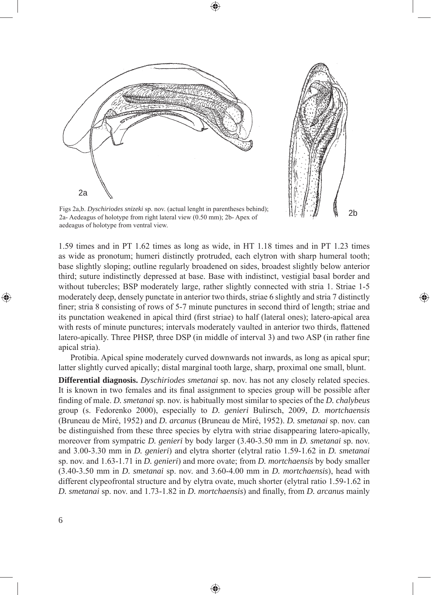2a

Figs 2a,b. *Dyschiriodes snizeki* sp. nov. (actual lenght in parentheses behind); 2a- Aedeagus of holotype from right lateral view (0.50 mm); 2b- Apex of aedeagus of holotype from ventral view.

1.59 times and in PT 1.62 times as long as wide, in HT 1.18 times and in PT 1.23 times as wide as pronotum; humeri distinctly protruded, each elytron with sharp humeral tooth; base slightly sloping; outline regularly broadened on sides, broadest slightly below anterior third; suture indistinctly depressed at base. Base with indistinct, vestigial basal border and without tubercles; BSP moderately large, rather slightly connected with stria 1. Striae 1-5 moderately deep, densely punctate in anterior two thirds, striae 6 slightly and stria 7 distinctly finer; stria 8 consisting of rows of 5-7 minute punctures in second third of length; striae and its punctation weakened in apical third (first striae) to half (lateral ones); latero-apical area with rests of minute punctures; intervals moderately vaulted in anterior two thirds, flattened latero-apically. Three PHSP, three DSP (in middle of interval 3) and two ASP (in rather fine apical stria).

2b

⊕

Protibia. Apical spine moderately curved downwards not inwards, as long as apical spur; latter slightly curved apically; distal marginal tooth large, sharp, proximal one small, blunt.

**Differential diagnosis.** *Dyschiriodes smetanai* sp. nov. has not any closely related species. It is known in two females and its final assignment to species group will be possible after fi nding of male. *D. smetanai* sp. nov. is habitually most similar to species of the *D. chalybeus* group (s. Fedorenko 2000), especially to *D. genieri* Bulirsch, 2009, *D. mortchaensis*  (Bruneau de Miré, 1952) and *D. arcanus* (Bruneau de Miré, 1952). *D. smetanai* sp. nov. can be distinguished from these three species by elytra with striae disappearing latero-apically, moreover from sympatric *D. genieri* by body larger (3.40-3.50 mm in *D. smetanai* sp. nov. and 3.00-3.30 mm in *D. genieri*) and elytra shorter (elytral ratio 1.59-1.62 in *D. smetanai*  sp. nov. and 1.63-1.71 in *D. genieri*) and more ovate; from *D. mortchaensis* by body smaller (3.40-3.50 mm in *D. smetanai* sp. nov. and 3.60-4.00 mm in *D. mortchaensis*), head with different clypeofrontal structure and by elytra ovate, much shorter (elytral ratio 1.59-1.62 in *D. smetanai* sp. nov. and 1.73-1.82 in *D. mortchaensis*) and finally, from *D. arcanus* mainly

◈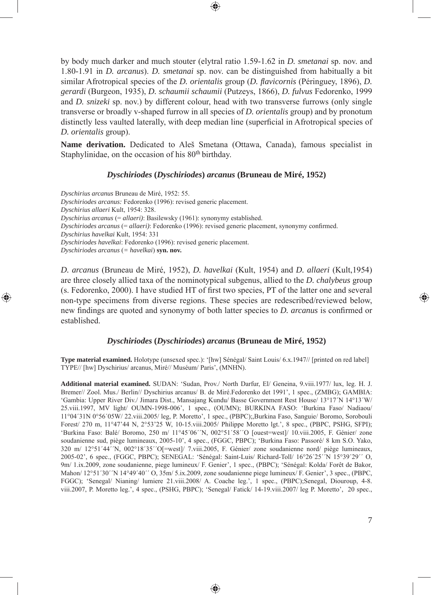by body much darker and much stouter (elytral ratio 1.59-1.62 in *D. smetanai* sp. nov. and 1.80-1.91 in *D. arcanus*). *D. smetanai* sp. nov. can be distinguished from habitually a bit similar Afrotropical species of the *D. orientalis* group (*D. flavicornis* (Péringuey, 1896), *D. gerardi* (Burgeon, 1935), *D. schaumii schaumii* (Putzeys, 1866), *D. fulvus* Fedorenko, 1999 and *D. snizeki* sp. nov.) by different colour, head with two transverse furrows (only single transverse or broadly v-shaped furrow in all species of *D. orientalis* group) and by pronotum distinctly less vaulted laterally, with deep median line (superficial in Afrotropical species of *D. orientalis* group).

⊕

**Name derivation.** Dedicated to Aleš Smetana (Ottawa, Canada), famous specialist in Staphylinidae, on the occasion of his 80<sup>th</sup> birthday.

## *Dyschiriodes* **(***Dyschiriodes***)** *arcanus* **(Bruneau de Miré, 1952)**

*Dyschirius arcanus* Bruneau de Miré, 1952: 55. *Dyschiriodes arcanus:* Fedorenko (1996): revised generic placement. *Dyschirius allaeri* Kult, 1954: 328. *Dyschirius arcanus* (= *allaeri)*: Basilewsky (1961): synonymy established. *Dyschiriodes arcanus* (= *allaeri*): Fedorenko (1996): revised generic placement, synonymy confirmed. *Dyschirius havelkai* Kult, 1954: 331 *Dyschiriodes havelkai*: Fedorenko (1996): revised generic placement. *Dyschiriodes arcanus* (*= havelkai*) **syn. nov.**

⊕

*D. arcanus* (Bruneau de Miré, 1952), *D. havelkai* (Kult, 1954) and *D. allaeri* (Kult,1954) are three closely allied taxa of the nominotypical subgenus, allied to the *D. chalybeus* group (s. Fedorenko, 2000). I have studied HT of first two species, PT of the latter one and several non-type specimens from diverse regions. These species are redescribed/reviewed below, new findings are quoted and synonymy of both latter species to *D. arcanus* is confirmed or established.

### *Dyschiriodes* **(***Dyschiriodes***)** *arcanus* **(Bruneau de Miré, 1952)**

**Type material examined.** Holotype (unsexed spec.): '[hw] Sénégal/ Saint Louis/ 6.x.1947// [printed on red label] TYPE// [hw] Dyschirius/ arcanus, Miré// Muséum/ Paris', (MNHN).

**Additional material examined.** SUDAN: 'Sudan, Prov./ North Darfur, El/ Geneina, 9.viii.1977/ lux, leg. H. J. Bremer// Zool. Mus./ Berlin// Dyschirius arcanus/ B. de Miré.Fedorenko det 1991', 1 spec., (ZMBG); GAMBIA: 'Gambia: Upper River Div./ Jimara Dist., Mansajang Kundu/ Basse Government Rest House/ 13°17´N 14°13´W/ 25.viii.1997, MV light/ OUMN-1998-006', 1 spec., (OUMN); BURKINA FASO: 'Burkina Faso/ Nadiaou/ 11°04´31N 0°56´05W/ 22.viii.2005/ leg, P. Moretto', 1 spec., (PBPC);,Burkina Faso, Sanguie/ Boromo, Sorobouli Forest/ 270 m, 11°47'44 N, 2°53'25 W, 10-15.viii.2005/ Philippe Moretto lgt.', 8 spec., (PBPC, PSHG, SFPI); 'Burkina Faso: Balé/ Boromo, 250 m/ 11°45´06´´N, 002°51´58´´O [ouest=west]/ 10.viii.2005, F. Génier/ zone soudanienne sud, piège lumineaux, 2005-10', 4 spec., (FGGC, PBPC); 'Burkina Faso: Passoré/ 8 km S.O. Yako, 320 m/ 12°51´44´´N, 002°18´35´´O[=west]/ 7.viii.2005, F. Génier/ zone soudanienne nord/ piège lumineaux, 2005-02', 6 spec., (FGGC, PBPC); SENEGAL: 'Sénégal: Saint-Luis/ Richard-Toll/ 16°26´25´´N 15°39´29´´ O, 9m/ 1.ix.2009, zone soudanienne, piege lumineux/ F. Genier', 1 spec., (PBPC); 'Sénégal: Kolda/ Forêt de Bakor, Mahon/ 12°51´30´´N 14°49´40´´ O, 35m/ 5.ix.2009, zone soudanienne piege lumineux/ F. Genier', 3 spec., (PBPC, FGGC); 'Senegal/ Nianing/ lumiere 21.viii.2008/ A. Coache leg.', 1 spec., (PBPC);Senegal, Diouroup, 4-8. viii.2007, P. Moretto leg.', 4 spec., (PSHG, PBPC); 'Senegal/ Fatick/ 14-19.viii.2007/ leg P. Moretto', 20 spec.,

⊕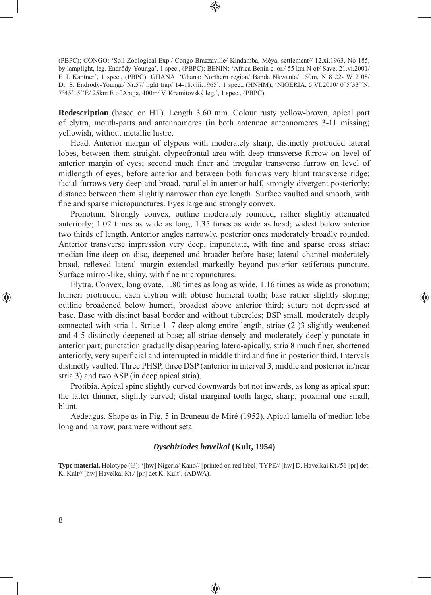(PBPC); CONGO: 'Soil-Zoological Exp./ Congo Brazzaville/ Kindamba, Méya, settlement// 12.xi.1963, No 185, by lamplight, leg. Endrödy-Younga', 1 spec., (PBPC); BENIN: 'Africa Benin c. or./ 55 km N of/ Save, 21.vi.2001/ F+L Kantner', 1 spec., (PBPC); GHANA: 'Ghana: Northern region/ Banda Nkwanta/ 150m, N 8 22- W 2 08/ Dr. S. Endrödy-Younga/ Nr.57/ light trap/ 14-18.viii.1965', 1 spec., (HNHM); 'NIGERIA, 5.VI.2010/ 0°5´33´´N, 7°45´15´´E/ 25km E of Abuja, 400m/ V. Kremitovský leg.´, 1 spec., (PBPC).

⊕

**Redescription** (based on HT). Length 3.60 mm. Colour rusty yellow-brown, apical part of elytra, mouth-parts and antennomeres (in both antennae antennomeres 3-11 missing) yellowish, without metallic lustre.

Head. Anterior margin of clypeus with moderately sharp, distinctly protruded lateral lobes, between them straight, clypeofrontal area with deep transverse furrow on level of anterior margin of eyes; second much finer and irregular transverse furrow on level of midlength of eyes; before anterior and between both furrows very blunt transverse ridge; facial furrows very deep and broad, parallel in anterior half, strongly divergent posteriorly; distance between them slightly narrower than eye length. Surface vaulted and smooth, with fine and sparse micropunctures. Eyes large and strongly convex.

Pronotum. Strongly convex, outline moderately rounded, rather slightly attenuated anteriorly; 1.02 times as wide as long, 1.35 times as wide as head; widest below anterior two thirds of length. Anterior angles narrowly, posterior ones moderately broadly rounded. Anterior transverse impression very deep, impunctate, with fine and sparse cross striae; median line deep on disc, deepened and broader before base; lateral channel moderately broad, reflexed lateral margin extended markedly beyond posterior setiferous puncture. Surface mirror-like, shiny, with fine micropunctures.

Elytra. Convex, long ovate, 1.80 times as long as wide, 1.16 times as wide as pronotum; humeri protruded, each elytron with obtuse humeral tooth; base rather slightly sloping; outline broadened below humeri, broadest above anterior third; suture not depressed at base. Base with distinct basal border and without tubercles; BSP small, moderately deeply connected with stria 1. Striae 1–7 deep along entire length, striae (2-)3 slightly weakened and 4-5 distinctly deepened at base; all striae densely and moderately deeply punctate in anterior part; punctation gradually disappearing latero-apically, stria 8 much finer, shortened anteriorly, very superficial and interrupted in middle third and fine in posterior third. Intervals distinctly vaulted. Three PHSP, three DSP (anterior in interval 3, middle and posterior in/near stria 3) and two ASP (in deep apical stria).

⊕

Protibia. Apical spine slightly curved downwards but not inwards, as long as apical spur; the latter thinner, slightly curved; distal marginal tooth large, sharp, proximal one small, blunt.

Aedeagus. Shape as in Fig. 5 in Bruneau de Miré (1952). Apical lamella of median lobe long and narrow, paramere without seta.

## *Dyschiriodes havelkai* **(Kult, 1954)**

**Type material.** Holotype (♀): '[hw] Nigeria/ Kano// [printed on red label] TYPE// [hw] D. Havelkai Kt./51 [pr] det. K. Kult// [hw] Havelkai Kt./ [pr] det K. Kult', (ADWA).

♠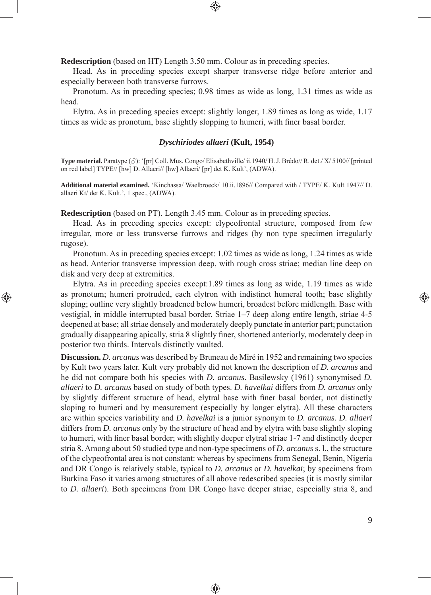**Redescription** (based on HT) Length 3.50 mm. Colour as in preceding species.

Head. As in preceding species except sharper transverse ridge before anterior and especially between both transverse furrows.

⊕

Pronotum. As in preceding species; 0.98 times as wide as long, 1.31 times as wide as head.

Elytra. As in preceding species except: slightly longer, 1.89 times as long as wide, 1.17 times as wide as pronotum, base slightly slopping to humeri, with finer basal border.

### *Dyschiriodes allaeri* **(Kult, 1954)**

**Type material.** Paratype (♂): '[pr] Coll. Mus. Congo/ Elisabethville/ ii.1940/ H. J. Brédo// R. det./ X/ 5100// [printed on red label] TYPE// [hw] D. Allaeri// [hw] Allaeri/ [pr] det K. Kult', (ADWA).

**Additional material examined.** 'Kinchassa/ Waelbroeck/ 10.ii.1896// Compared with / TYPE/ K. Kult 1947// D. allaeri Kt/ det K. Kult.', 1 spec., (ADWA).

**Redescription** (based on PT). Length 3.45 mm. Colour as in preceding species.

⊕

Head. As in preceding species except: clypeofrontal structure, composed from few irregular, more or less transverse furrows and ridges (by non type specimen irregularly rugose).

Pronotum. As in preceding species except: 1.02 times as wide as long, 1.24 times as wide as head. Anterior transverse impression deep, with rough cross striae; median line deep on disk and very deep at extremities.

Elytra. As in preceding species except:1.89 times as long as wide, 1.19 times as wide as pronotum; humeri protruded, each elytron with indistinct humeral tooth; base slightly sloping; outline very slightly broadened below humeri, broadest before midlength. Base with vestigial, in middle interrupted basal border. Striae 1–7 deep along entire length, striae 4-5 deepened at base; all striae densely and moderately deeply punctate in anterior part; punctation gradually disappearing apically, stria 8 slightly finer, shortened anteriorly, moderately deep in posterior two thirds. Intervals distinctly vaulted.

**Discussion.** *D. arcanus* was described by Bruneau de Miré in 1952 and remaining two species by Kult two years later. Kult very probably did not known the description of *D. arcanus* and he did not compare both his species with *D. arcanus*. Basilewsky (1961) synonymised *D. allaeri* to *D. arcanus* based on study of both types. *D. havelkai* differs from *D. arcanus* only by slightly different structure of head, elytral base with finer basal border, not distinctly sloping to humeri and by measurement (especially by longer elytra). All these characters are within species variability and *D. havelkai* is a junior synonym to *D. arcanus. D. allaeri* differs from *D. arcanus* only by the structure of head and by elytra with base slightly sloping to humeri, with finer basal border; with slightly deeper elytral striae 1-7 and distinctly deeper stria 8. Among about 50 studied type and non-type specimens of *D. arcanus* s. l., the structure of the clypeofrontal area is not constant: whereas by specimens from Senegal, Benin, Nigeria and DR Congo is relatively stable, typical to *D. arcanus* or *D. havelkai*; by specimens from Burkina Faso it varies among structures of all above redescribed species (it is mostly similar to *D. allaeri*). Both specimens from DR Congo have deeper striae, especially stria 8, and

♠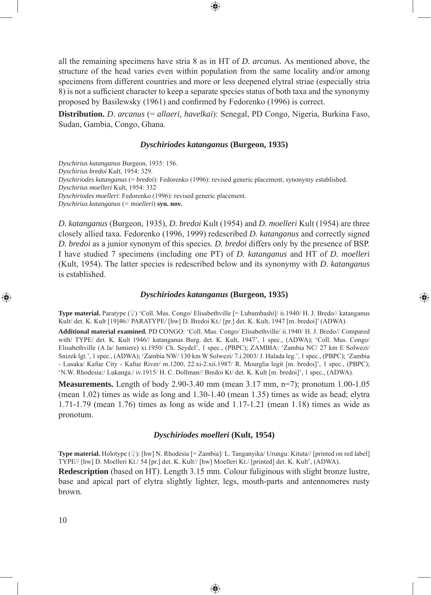all the remaining specimens have stria 8 as in HT of *D. arcanus.* As mentioned above, the structure of the head varies even within population from the same locality and/or among specimens from different countries and more or less deepened elytral striae (especially stria 8) is not a sufficient character to keep a separate species status of both taxa and the synonymy proposed by Basilewsky (1961) and confirmed by Fedorenko (1996) is correct.

**Distribution.** *D*. *arcanus* (= *allaeri, havelkai*): Senegal, PD Congo, Nigeria, Burkina Faso, Sudan, Gambia, Congo, Ghana.

### *Dyschiriodes katanganus* **(Burgeon, 1935)**

*Dyschirius katanganus* Burgeon, 1935: 156. *Dyschirius bredoi* Kult, 1954: 329. *Dyschiriodes katanganus* (= *bredoi*): Fedorenko (1996): revised generic placement, synonymy established. *Dyschirius moelleri* Kult, 1954: 332 *Dyschiriodes moelleri*: Fedorenko (1996): revised generic placement. *Dyschirius katanganus* (*= moelleri*) **syn. nov.**

*D. katanganus* (Burgeon, 1935), *D. bredoi* Kult (1954) and *D. moelleri* Kult (1954) are three closely allied taxa. Fedorenko (1996, 1999) redescribed *D. katanganus* and correctly signed *D. bredoi* as a junior synonym of this species. *D. bredoi* differs only by the presence of BSP. I have studied 7 specimens (including one PT) of *D. katanganus* and HT of *D. moelleri* (Kult, 1954). The latter species is redescribed below and its synonymy with *D. katanganus* is established.

#### *Dyschiriodes katanganus* **(Burgeon, 1935)**

⊕

**Type material.** Paratype  $(\varphi)$  'Coll. Mus. Congo/ Elisabethville  $[=$  Lubumbashi]/ ii.1940/ H. J. Bredo// katanganus Kult/ det. K. Kult [19]46// PARATYPE/ [hw] D. Bredoi Kt./ [pr.] det. K. Kult, 1947 [m. bredoi]' (ADWA).

**Additional material examined.** PD CONGO: 'Coll. Mus. Congo/ Elisabethville/ ii.1940/ H. J. Bredo// Compared with/ TYPE/ det. K. Kult 1946// katanganus Burg. det. K. Kult, 1947', 1 spec., (ADWA); 'Coll. Mus. Congo/ Elisabethville (A la/ lumiere) xi.1950/ Ch. Seydel', 1 spec., (PBPC); ZAMBIA: 'Zambia NC/ 27 km E Solwezi/ Snizek lgt.', 1 spec., (ADWA); 'Zambia NW/ 130 km W Solwezi/ 7.i.2003/ J. Halada leg.', 1 spec., (PBPC); 'Zambia - Lusaka/ Kafue City - Kafue River/ m.1200, 22.xi-2.xii.1987/ R. Mourglia legit [m. bredoi]', 1 spec., (PBPC); 'N.W. Rhodesia:/ Lukanga./ iv.1915/ H. C. Dollman// Bredoi Kt/ det. K. Kult [m. bredoi]', 1 spec., (ADWA).

**Measurements.** Length of body 2.90-3.40 mm (mean 3.17 mm, n=7); pronotum 1.00-1.05 (mean 1.02) times as wide as long and 1.30-1.40 (mean 1.35) times as wide as head; elytra 1.71-1.79 (mean 1.76) times as long as wide and 1.17-1.21 (mean 1.18) times as wide as pronotum.

### *Dyschiriodes moelleri* **(Kult, 1954)**

**Type material.** Holotype (♀): [hw] N. Rhodesia [= Zambia]/ L. Tanganyika/ Urungu: Kituta// [printed on red label] TYPE// [hw] D. Moelleri Kt./ 54 [pr.] det. K. Kult// [hw] Moelleri Kt./ [printed] det. K. Kult', (ADWA).

**Redescription** (based on HT). Length 3.15 mm. Colour fuliginous with slight bronze lustre, base and apical part of elytra slightly lighter, legs, mouth-parts and antennomeres rusty brown.

⊕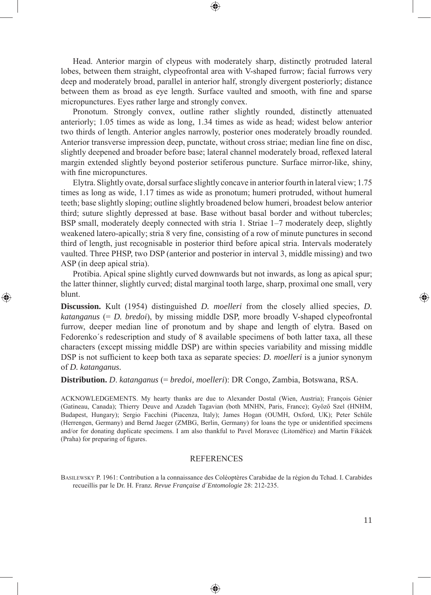Head. Anterior margin of clypeus with moderately sharp, distinctly protruded lateral lobes, between them straight, clypeofrontal area with V-shaped furrow; facial furrows very deep and moderately broad, parallel in anterior half, strongly divergent posteriorly; distance between them as broad as eye length. Surface vaulted and smooth, with fine and sparse micropunctures. Eyes rather large and strongly convex.

Pronotum. Strongly convex, outline rather slightly rounded, distinctly attenuated anteriorly; 1.05 times as wide as long, 1.34 times as wide as head; widest below anterior two thirds of length. Anterior angles narrowly, posterior ones moderately broadly rounded. Anterior transverse impression deep, punctate, without cross striae; median line fine on disc, slightly deepened and broader before base; lateral channel moderately broad, reflexed lateral margin extended slightly beyond posterior setiferous puncture. Surface mirror-like, shiny, with fine micropunctures.

Elytra. Slightly ovate, dorsal surface slightly concave in anterior fourth in lateral view; 1.75 times as long as wide, 1.17 times as wide as pronotum; humeri protruded, without humeral teeth; base slightly sloping; outline slightly broadened below humeri, broadest below anterior third; suture slightly depressed at base. Base without basal border and without tubercles; BSP small, moderately deeply connected with stria 1. Striae 1–7 moderately deep, slightly weakened latero-apically; stria 8 very fine, consisting of a row of minute punctures in second third of length, just recognisable in posterior third before apical stria. Intervals moderately vaulted. Three PHSP, two DSP (anterior and posterior in interval 3, middle missing) and two ASP (in deep apical stria).

Protibia. Apical spine slightly curved downwards but not inwards, as long as apical spur; the latter thinner, slightly curved; distal marginal tooth large, sharp, proximal one small, very blunt.

◈

**Discussion.** Kult (1954) distinguished *D. moelleri* from the closely allied species, *D. katanganus* (= *D. bredoi*), by missing middle DSP, more broadly V-shaped clypeofrontal furrow, deeper median line of pronotum and by shape and length of elytra. Based on Fedorenko´s redescription and study of 8 available specimens of both latter taxa, all these characters (except missing middle DSP) are within species variability and missing middle DSP is not sufficient to keep both taxa as separate species: *D. moelleri* is a junior synonym of *D. katanganus.* 

# **Distribution.** *D*. *katanganus* (= *bredoi, moelleri*): DR Congo, Zambia, Botswana, RSA.

ACKNOWLEDGEMENTS. My hearty thanks are due to Alexander Dostal (Wien, Austria); François Génier (Gatineau, Canada); Thierry Deuve and Azadeh Tagavian (both MNHN, Paris, France); Győző Szel (HNHM, Budapest, Hungary); Sergio Facchini (Piacenza, Italy); James Hogan (OUMH, Oxford, UK); Peter Schüle (Herrengen, Germany) and Bernd Jaeger (ZMBG, Berlin, Germany) for loans the type or unidentified specimens and/or for donating duplicate specimens. I am also thankful to Pavel Moravec (Litoměřice) and Martin Fikáček (Praha) for preparing of figures.

# REFERENCES

BASILEWSKY P. 1961: Contribution a la connaissance des Coléoptères Carabidae de la région du Tchad. I. Carabides recueillis par le Dr. H. Franz*. Revue Française d´Entomologie* 28: 212-235.

♠